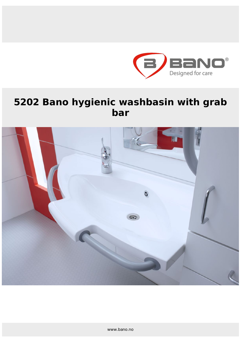

# **5202 Bano hygienic washbasin with grab bar**

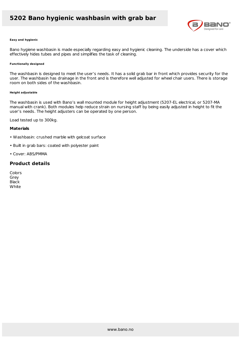### **5202 Bano hygienic washbasin with grab bar**



#### **Easy and hygienic**

Bano hygiene washbasin is made especially regarding easy and hygienic cleaning. The underside has a cover which effectively hides tubes and pipes and simplifies the task of cleaning.

#### **Functionally designed**

The washbasin is designed to meet the user's needs. It has a solid grab bar in front which provides security for the user. The washbasin has drainage in the front and is therefore well adjusted for wheel chair users. There is storage room on both sides of the washbasin.

#### **Height adjustable**

The washbasin is used with Bano's wall mounted module for height adjustment (5207-EL electrical, or 5207-MA manual with crank). Both modules help reduce strain on nursing staff by being easily adjusted in height to fit the user's needs. The height adjusters can be operated by one person.

Load tested up to 300kg.

#### **Materials**

- Washbasin: crushed marble with gelcoat surface
- Built in grab bars: coated with polyester paint
- Cover: ABS/PMMA

### **Product details**

Colors Grey Black **White**